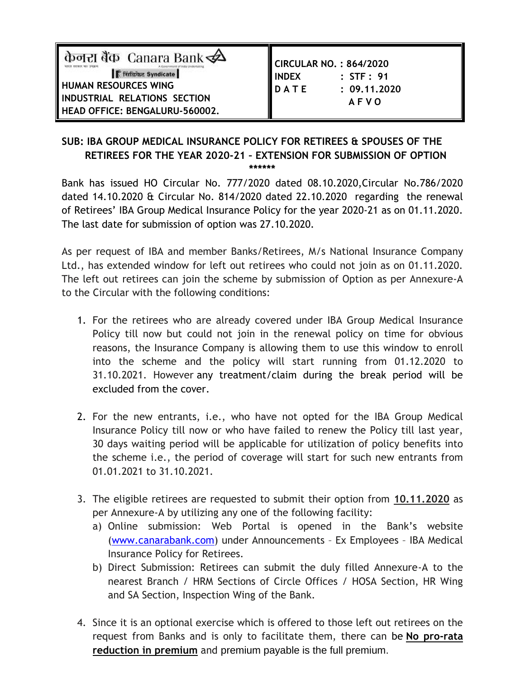| केनरा बैंक Canara Bank $\clubsuit$<br><b>Fiftenz</b> Syndicate<br><b>HUMAN RESOURCES WING</b><br>INDUSTRIAL RELATIONS SECTION<br>HEAD OFFICE: BENGALURU-560002. | <b>CIRCULAR NO.: 864/2020</b><br>I INDEX<br>: STF : 91<br>DATE<br>: 09.11,2020<br><b>AFVO</b> |
|-----------------------------------------------------------------------------------------------------------------------------------------------------------------|-----------------------------------------------------------------------------------------------|
|-----------------------------------------------------------------------------------------------------------------------------------------------------------------|-----------------------------------------------------------------------------------------------|

## **SUB: IBA GROUP MEDICAL INSURANCE POLICY FOR RETIREES & SPOUSES OF THE RETIREES FOR THE YEAR 2020-21 – EXTENSION FOR SUBMISSION OF OPTION \*\*\*\*\*\***

Bank has issued HO Circular No. 777/2020 dated 08.10.2020,Circular No.786/2020 dated 14.10.2020 & Circular No. 814/2020 dated 22.10.2020 regarding the renewal of Retirees' IBA Group Medical Insurance Policy for the year 2020-21 as on 01.11.2020. The last date for submission of option was 27.10.2020.

As per request of IBA and member Banks/Retirees, M/s National Insurance Company Ltd., has extended window for left out retirees who could not join as on 01.11.2020. The left out retirees can join the scheme by submission of Option as per Annexure-A to the Circular with the following conditions:

- 1. For the retirees who are already covered under IBA Group Medical Insurance Policy till now but could not join in the renewal policy on time for obvious reasons, the Insurance Company is allowing them to use this window to enroll into the scheme and the policy will start running from 01.12.2020 to 31.10.2021. However any treatment/claim during the break period will be excluded from the cover.
- 2. For the new entrants, i.e., who have not opted for the IBA Group Medical Insurance Policy till now or who have failed to renew the Policy till last year, 30 days waiting period will be applicable for utilization of policy benefits into the scheme i.e., the period of coverage will start for such new entrants from 01.01.2021 to 31.10.2021.
- 3. The eligible retirees are requested to submit their option from **10.11.2020** as per Annexure-A by utilizing any one of the following facility:
	- a) Online submission: Web Portal is opened in the Bank's website [\(www.canarabank.com\)](http://www.canarabank.com/) under Announcements – Ex Employees – IBA Medical Insurance Policy for Retirees.
	- b) Direct Submission: Retirees can submit the duly filled Annexure-A to the nearest Branch / HRM Sections of Circle Offices / HOSA Section, HR Wing and SA Section, Inspection Wing of the Bank.
- 4. Since it is an optional exercise which is offered to those left out retirees on the request from Banks and is only to facilitate them, there can be **No pro-rata reduction in premium** and premium payable is the full premium.